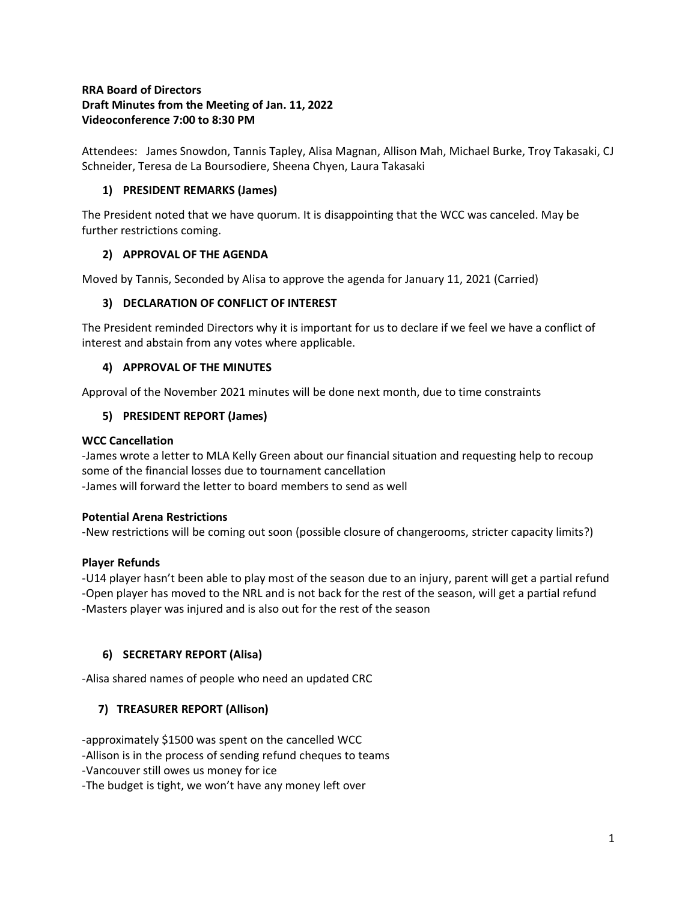# **RRA Board of Directors Draft Minutes from the Meeting of Jan. 11, 2022 Videoconference 7:00 to 8:30 PM**

Attendees: James Snowdon, Tannis Tapley, Alisa Magnan, Allison Mah, Michael Burke, Troy Takasaki, CJ Schneider, Teresa de La Boursodiere, Sheena Chyen, Laura Takasaki

# **1) PRESIDENT REMARKS (James)**

The President noted that we have quorum. It is disappointing that the WCC was canceled. May be further restrictions coming.

# **2) APPROVAL OF THE AGENDA**

Moved by Tannis, Seconded by Alisa to approve the agenda for January 11, 2021 (Carried)

### **3) DECLARATION OF CONFLICT OF INTEREST**

The President reminded Directors why it is important for us to declare if we feel we have a conflict of interest and abstain from any votes where applicable.

### **4) APPROVAL OF THE MINUTES**

Approval of the November 2021 minutes will be done next month, due to time constraints

### **5) PRESIDENT REPORT (James)**

#### **WCC Cancellation**

-James wrote a letter to MLA Kelly Green about our financial situation and requesting help to recoup some of the financial losses due to tournament cancellation -James will forward the letter to board members to send as well

#### **Potential Arena Restrictions**

-New restrictions will be coming out soon (possible closure of changerooms, stricter capacity limits?)

# **Player Refunds**

-U14 player hasn't been able to play most of the season due to an injury, parent will get a partial refund -Open player has moved to the NRL and is not back for the rest of the season, will get a partial refund -Masters player was injured and is also out for the rest of the season

# **6) SECRETARY REPORT (Alisa)**

-Alisa shared names of people who need an updated CRC

# **7) TREASURER REPORT (Allison)**

-approximately \$1500 was spent on the cancelled WCC

-Allison is in the process of sending refund cheques to teams

-Vancouver still owes us money for ice

-The budget is tight, we won't have any money left over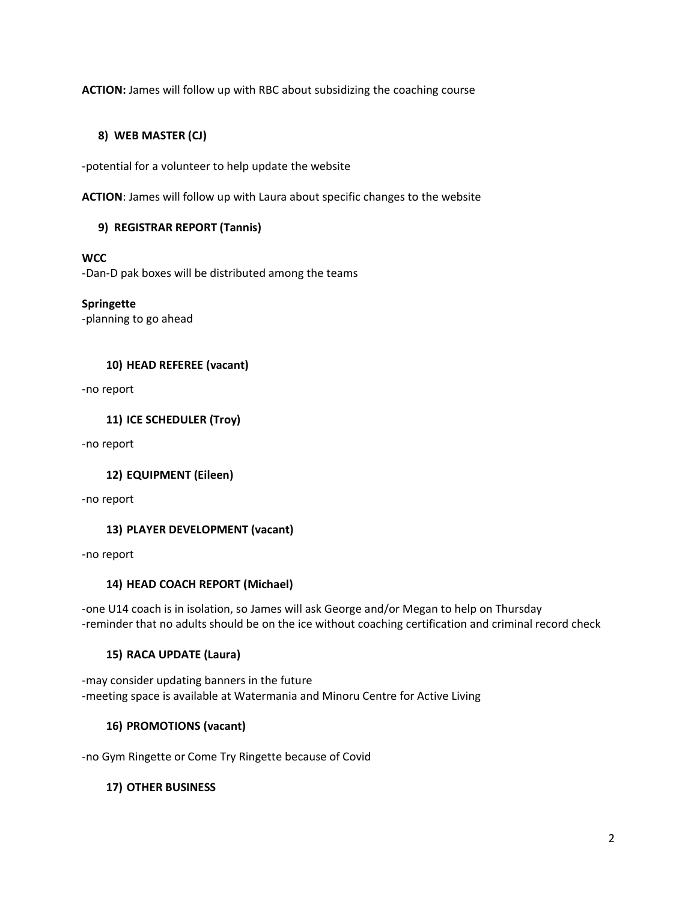**ACTION:** James will follow up with RBC about subsidizing the coaching course

# **8) WEB MASTER (CJ)**

-potential for a volunteer to help update the website

**ACTION**: James will follow up with Laura about specific changes to the website

### **9) REGISTRAR REPORT (Tannis)**

#### **WCC**

-Dan-D pak boxes will be distributed among the teams

### **Springette**

-planning to go ahead

### **10) HEAD REFEREE (vacant)**

-no report

**11) ICE SCHEDULER (Troy)**

-no report

# **12) EQUIPMENT (Eileen)**

-no report

# **13) PLAYER DEVELOPMENT (vacant)**

-no report

#### **14) HEAD COACH REPORT (Michael)**

-one U14 coach is in isolation, so James will ask George and/or Megan to help on Thursday -reminder that no adults should be on the ice without coaching certification and criminal record check

#### **15) RACA UPDATE (Laura)**

-may consider updating banners in the future -meeting space is available at Watermania and Minoru Centre for Active Living

# **16) PROMOTIONS (vacant)**

-no Gym Ringette or Come Try Ringette because of Covid

# **17) OTHER BUSINESS**